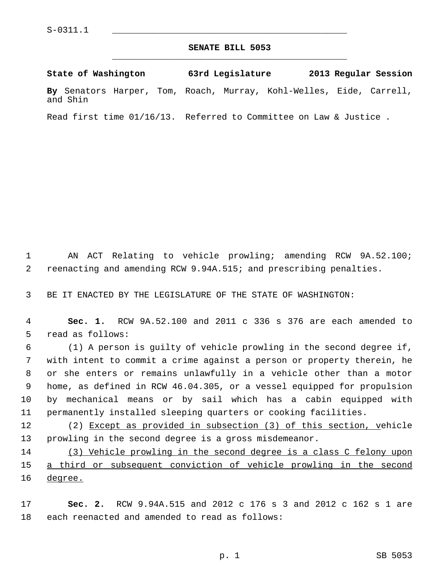## **SENATE BILL 5053** \_\_\_\_\_\_\_\_\_\_\_\_\_\_\_\_\_\_\_\_\_\_\_\_\_\_\_\_\_\_\_\_\_\_\_\_\_\_\_\_\_\_\_\_\_

**State of Washington 63rd Legislature 2013 Regular Session By** Senators Harper, Tom, Roach, Murray, Kohl-Welles, Eide, Carrell, and Shin

Read first time 01/16/13. Referred to Committee on Law & Justice .

 1 AN ACT Relating to vehicle prowling; amending RCW 9A.52.100; 2 reenacting and amending RCW 9.94A.515; and prescribing penalties.

3 BE IT ENACTED BY THE LEGISLATURE OF THE STATE OF WASHINGTON:

 4 **Sec. 1.** RCW 9A.52.100 and 2011 c 336 s 376 are each amended to 5 read as follows:

 6 (1) A person is guilty of vehicle prowling in the second degree if, 7 with intent to commit a crime against a person or property therein, he 8 or she enters or remains unlawfully in a vehicle other than a motor 9 home, as defined in RCW 46.04.305, or a vessel equipped for propulsion 10 by mechanical means or by sail which has a cabin equipped with 11 permanently installed sleeping quarters or cooking facilities.

12 (2) Except as provided in subsection (3) of this section, vehicle 13 prowling in the second degree is a gross misdemeanor.

14 (3) Vehicle prowling in the second degree is a class C felony upon 15 a third or subsequent conviction of vehicle prowling in the second 16 degree.

17 **Sec. 2.** RCW 9.94A.515 and 2012 c 176 s 3 and 2012 c 162 s 1 are 18 each reenacted and amended to read as follows: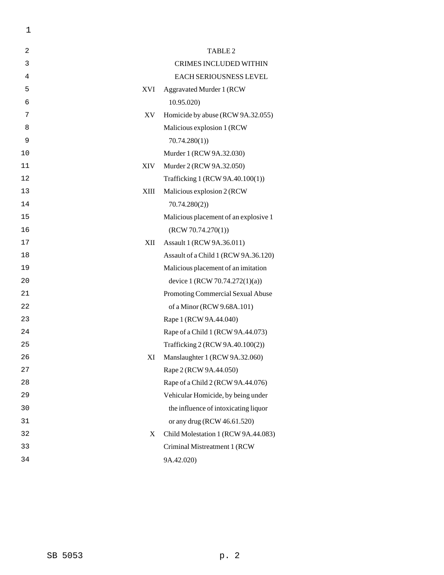| 2  |             | TABLE <sub>2</sub>                    |
|----|-------------|---------------------------------------|
| 3  |             | <b>CRIMES INCLUDED WITHIN</b>         |
| 4  |             | EACH SERIOUSNESS LEVEL                |
| 5  | <b>XVI</b>  | <b>Aggravated Murder 1 (RCW)</b>      |
| 6  |             | 10.95.020                             |
| 7  | XV          | Homicide by abuse (RCW 9A.32.055)     |
| 8  |             | Malicious explosion 1 (RCW            |
| 9  |             | 70.74.280(1)                          |
| 10 |             | Murder 1 (RCW 9A.32.030)              |
| 11 | <b>XIV</b>  | Murder 2 (RCW 9A.32.050)              |
| 12 |             | Trafficking 1 (RCW 9A.40.100(1))      |
| 13 | <b>XIII</b> | Malicious explosion 2 (RCW            |
| 14 |             | 70.74.280(2)                          |
| 15 |             | Malicious placement of an explosive 1 |
| 16 |             | (RCW 70.74.270(1))                    |
| 17 | XII         | Assault 1 (RCW 9A.36.011)             |
| 18 |             | Assault of a Child 1 (RCW 9A.36.120)  |
| 19 |             | Malicious placement of an imitation   |
| 20 |             | device 1 (RCW 70.74.272(1)(a))        |
| 21 |             | Promoting Commercial Sexual Abuse     |
| 22 |             | of a Minor (RCW 9.68A.101)            |
| 23 |             | Rape 1 (RCW 9A.44.040)                |
| 24 |             | Rape of a Child 1 (RCW 9A.44.073)     |
| 25 |             | Trafficking 2 (RCW 9A.40.100(2))      |
| 26 | XI          | Manslaughter 1 (RCW 9A.32.060)        |
| 27 |             | Rape 2 (RCW 9A.44.050)                |
| 28 |             | Rape of a Child 2 (RCW 9A.44.076)     |
| 29 |             | Vehicular Homicide, by being under    |
| 30 |             | the influence of intoxicating liquor  |
| 31 |             | or any drug (RCW 46.61.520)           |
| 32 | X           | Child Molestation 1 (RCW 9A.44.083)   |
| 33 |             | Criminal Mistreatment 1 (RCW          |
| 34 |             | 9A.42.020)                            |

1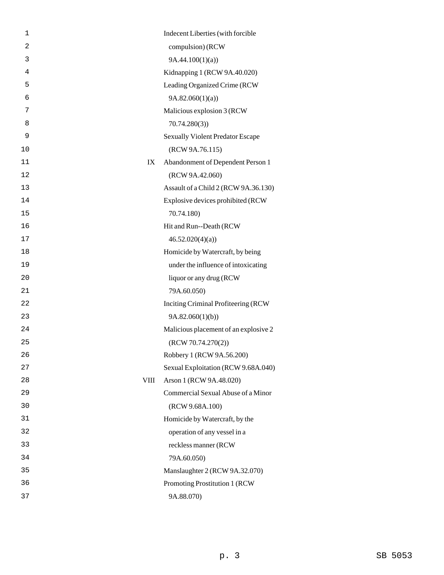| 1              |             | Indecent Liberties (with forcible       |
|----------------|-------------|-----------------------------------------|
| $\overline{c}$ |             | compulsion) (RCW                        |
| 3              |             | 9A.44.100(1)(a)                         |
| 4              |             | Kidnapping 1 (RCW 9A.40.020)            |
| 5              |             | Leading Organized Crime (RCW            |
| 6              |             | 9A.82.060(1)(a)                         |
| 7              |             | Malicious explosion 3 (RCW              |
| 8              |             | 70.74.280(3)                            |
| 9              |             | <b>Sexually Violent Predator Escape</b> |
| 10             |             | (RCW 9A.76.115)                         |
| 11             | IX          | Abandonment of Dependent Person 1       |
| 12             |             | (RCW 9A.42.060)                         |
| 13             |             | Assault of a Child 2 (RCW 9A.36.130)    |
| 14             |             | Explosive devices prohibited (RCW       |
| 15             |             | 70.74.180)                              |
| 16             |             | Hit and Run--Death (RCW                 |
| 17             |             | 46.52.020(4)(a)                         |
| 18             |             | Homicide by Watercraft, by being        |
| 19             |             | under the influence of intoxicating     |
| 20             |             | liquor or any drug (RCW                 |
| 21             |             | 79A.60.050)                             |
| 22             |             | Inciting Criminal Profiteering (RCW     |
| 23             |             | 9A.82.060(1)(b)                         |
| 24             |             | Malicious placement of an explosive 2   |
| 25             |             | (RCW 70.74.270(2))                      |
| 26             |             | Robbery 1 (RCW 9A.56.200)               |
| 27             |             | Sexual Exploitation (RCW 9.68A.040)     |
| 28             | <b>VIII</b> | Arson 1 (RCW 9A.48.020)                 |
| 29             |             | Commercial Sexual Abuse of a Minor      |
| 30             |             | (RCW 9.68A.100)                         |
| 31             |             | Homicide by Watercraft, by the          |
| 32             |             | operation of any vessel in a            |
| 33             |             | reckless manner (RCW                    |
| 34             |             | 79A.60.050)                             |
| 35             |             | Manslaughter 2 (RCW 9A.32.070)          |
| 36             |             | Promoting Prostitution 1 (RCW           |
| 37             |             | 9A.88.070)                              |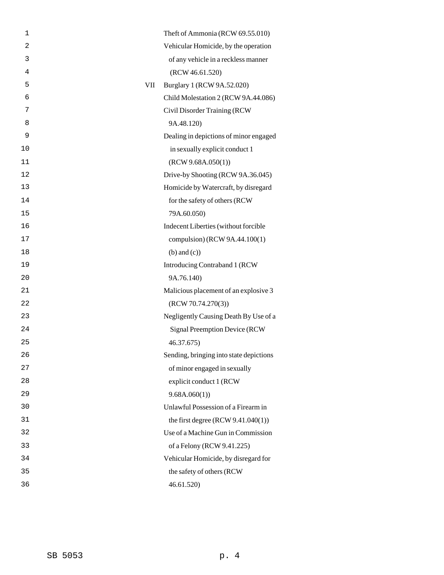| 1  |     | Theft of Ammonia (RCW 69.55.010)        |
|----|-----|-----------------------------------------|
| 2  |     | Vehicular Homicide, by the operation    |
| 3  |     | of any vehicle in a reckless manner     |
| 4  |     | (RCW 46.61.520)                         |
| 5  | VII | Burglary 1 (RCW 9A.52.020)              |
| 6  |     | Child Molestation 2 (RCW 9A.44.086)     |
| 7  |     | Civil Disorder Training (RCW            |
| 8  |     | 9A.48.120)                              |
| 9  |     | Dealing in depictions of minor engaged  |
| 10 |     | in sexually explicit conduct 1          |
| 11 |     | (RCW 9.68A.050(1))                      |
| 12 |     | Drive-by Shooting (RCW 9A.36.045)       |
| 13 |     | Homicide by Watercraft, by disregard    |
| 14 |     | for the safety of others (RCW           |
| 15 |     | 79A.60.050)                             |
| 16 |     | Indecent Liberties (without forcible    |
| 17 |     | compulsion) (RCW 9A.44.100(1)           |
| 18 |     | $(b)$ and $(c)$ )                       |
| 19 |     | Introducing Contraband 1 (RCW           |
| 20 |     | 9A.76.140)                              |
| 21 |     | Malicious placement of an explosive 3   |
| 22 |     | (RCW 70.74.270(3))                      |
| 23 |     | Negligently Causing Death By Use of a   |
| 24 |     | <b>Signal Preemption Device (RCW)</b>   |
| 25 |     | 46.37.675)                              |
| 26 |     | Sending, bringing into state depictions |
| 27 |     | of minor engaged in sexually            |
| 28 |     | explicit conduct 1 (RCW                 |
| 29 |     | 9.68A.060(1)                            |
| 30 |     | Unlawful Possession of a Firearm in     |
| 31 |     | the first degree $(RCW 9.41.040(1))$    |
| 32 |     | Use of a Machine Gun in Commission      |
| 33 |     | of a Felony (RCW 9.41.225)              |
| 34 |     | Vehicular Homicide, by disregard for    |
| 35 |     | the safety of others (RCW               |
| 36 |     | 46.61.520)                              |
|    |     |                                         |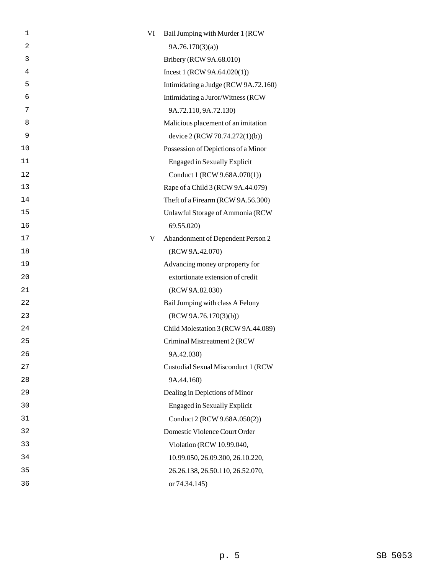| $\overline{2}$<br>9A.76.170(3)(a)<br>3<br>Bribery (RCW 9A.68.010)<br>4<br>Incest 1 (RCW 9A.64.020(1))<br>5<br>Intimidating a Judge (RCW 9A.72.160)<br>6<br>Intimidating a Juror/Witness (RCW<br>7<br>9A.72.110, 9A.72.130)<br>8<br>Malicious placement of an imitation<br>9<br>device 2 (RCW 70.74.272(1)(b))<br>10<br>Possession of Depictions of a Minor<br>11<br><b>Engaged in Sexually Explicit</b><br>12<br>Conduct 1 (RCW 9.68A.070(1))<br>13<br>Rape of a Child 3 (RCW 9A.44.079)<br>14<br>Theft of a Firearm (RCW 9A.56.300)<br>15<br>Unlawful Storage of Ammonia (RCW<br>16<br>69.55.020)<br>17<br>Abandonment of Dependent Person 2<br>V<br>18<br>(RCW 9A.42.070)<br>19<br>Advancing money or property for<br>20<br>extortionate extension of credit<br>21<br>(RCW 9A.82.030)<br>22<br>Bail Jumping with class A Felony<br>23<br>(RCW 9A.76.170(3)(b))<br>24<br>Child Molestation 3 (RCW 9A.44.089)<br>25<br>Criminal Mistreatment 2 (RCW<br>26<br>9A.42.030)<br>27<br>Custodial Sexual Misconduct 1 (RCW<br>28<br>9A.44.160)<br>Dealing in Depictions of Minor<br>29<br><b>Engaged in Sexually Explicit</b><br>30<br>31<br>Conduct 2 (RCW 9.68A.050(2))<br>32<br>Domestic Violence Court Order<br>33<br>Violation (RCW 10.99.040,<br>34<br>10.99.050, 26.09.300, 26.10.220,<br>35<br>26.26.138, 26.50.110, 26.52.070,<br>36<br>or 74.34.145) | 1 | VI | Bail Jumping with Murder 1 (RCW) |
|---------------------------------------------------------------------------------------------------------------------------------------------------------------------------------------------------------------------------------------------------------------------------------------------------------------------------------------------------------------------------------------------------------------------------------------------------------------------------------------------------------------------------------------------------------------------------------------------------------------------------------------------------------------------------------------------------------------------------------------------------------------------------------------------------------------------------------------------------------------------------------------------------------------------------------------------------------------------------------------------------------------------------------------------------------------------------------------------------------------------------------------------------------------------------------------------------------------------------------------------------------------------------------------------------------------------------------------------------------|---|----|----------------------------------|
|                                                                                                                                                                                                                                                                                                                                                                                                                                                                                                                                                                                                                                                                                                                                                                                                                                                                                                                                                                                                                                                                                                                                                                                                                                                                                                                                                         |   |    |                                  |
|                                                                                                                                                                                                                                                                                                                                                                                                                                                                                                                                                                                                                                                                                                                                                                                                                                                                                                                                                                                                                                                                                                                                                                                                                                                                                                                                                         |   |    |                                  |
|                                                                                                                                                                                                                                                                                                                                                                                                                                                                                                                                                                                                                                                                                                                                                                                                                                                                                                                                                                                                                                                                                                                                                                                                                                                                                                                                                         |   |    |                                  |
|                                                                                                                                                                                                                                                                                                                                                                                                                                                                                                                                                                                                                                                                                                                                                                                                                                                                                                                                                                                                                                                                                                                                                                                                                                                                                                                                                         |   |    |                                  |
|                                                                                                                                                                                                                                                                                                                                                                                                                                                                                                                                                                                                                                                                                                                                                                                                                                                                                                                                                                                                                                                                                                                                                                                                                                                                                                                                                         |   |    |                                  |
|                                                                                                                                                                                                                                                                                                                                                                                                                                                                                                                                                                                                                                                                                                                                                                                                                                                                                                                                                                                                                                                                                                                                                                                                                                                                                                                                                         |   |    |                                  |
|                                                                                                                                                                                                                                                                                                                                                                                                                                                                                                                                                                                                                                                                                                                                                                                                                                                                                                                                                                                                                                                                                                                                                                                                                                                                                                                                                         |   |    |                                  |
|                                                                                                                                                                                                                                                                                                                                                                                                                                                                                                                                                                                                                                                                                                                                                                                                                                                                                                                                                                                                                                                                                                                                                                                                                                                                                                                                                         |   |    |                                  |
|                                                                                                                                                                                                                                                                                                                                                                                                                                                                                                                                                                                                                                                                                                                                                                                                                                                                                                                                                                                                                                                                                                                                                                                                                                                                                                                                                         |   |    |                                  |
|                                                                                                                                                                                                                                                                                                                                                                                                                                                                                                                                                                                                                                                                                                                                                                                                                                                                                                                                                                                                                                                                                                                                                                                                                                                                                                                                                         |   |    |                                  |
|                                                                                                                                                                                                                                                                                                                                                                                                                                                                                                                                                                                                                                                                                                                                                                                                                                                                                                                                                                                                                                                                                                                                                                                                                                                                                                                                                         |   |    |                                  |
|                                                                                                                                                                                                                                                                                                                                                                                                                                                                                                                                                                                                                                                                                                                                                                                                                                                                                                                                                                                                                                                                                                                                                                                                                                                                                                                                                         |   |    |                                  |
|                                                                                                                                                                                                                                                                                                                                                                                                                                                                                                                                                                                                                                                                                                                                                                                                                                                                                                                                                                                                                                                                                                                                                                                                                                                                                                                                                         |   |    |                                  |
|                                                                                                                                                                                                                                                                                                                                                                                                                                                                                                                                                                                                                                                                                                                                                                                                                                                                                                                                                                                                                                                                                                                                                                                                                                                                                                                                                         |   |    |                                  |
|                                                                                                                                                                                                                                                                                                                                                                                                                                                                                                                                                                                                                                                                                                                                                                                                                                                                                                                                                                                                                                                                                                                                                                                                                                                                                                                                                         |   |    |                                  |
|                                                                                                                                                                                                                                                                                                                                                                                                                                                                                                                                                                                                                                                                                                                                                                                                                                                                                                                                                                                                                                                                                                                                                                                                                                                                                                                                                         |   |    |                                  |
|                                                                                                                                                                                                                                                                                                                                                                                                                                                                                                                                                                                                                                                                                                                                                                                                                                                                                                                                                                                                                                                                                                                                                                                                                                                                                                                                                         |   |    |                                  |
|                                                                                                                                                                                                                                                                                                                                                                                                                                                                                                                                                                                                                                                                                                                                                                                                                                                                                                                                                                                                                                                                                                                                                                                                                                                                                                                                                         |   |    |                                  |
|                                                                                                                                                                                                                                                                                                                                                                                                                                                                                                                                                                                                                                                                                                                                                                                                                                                                                                                                                                                                                                                                                                                                                                                                                                                                                                                                                         |   |    |                                  |
|                                                                                                                                                                                                                                                                                                                                                                                                                                                                                                                                                                                                                                                                                                                                                                                                                                                                                                                                                                                                                                                                                                                                                                                                                                                                                                                                                         |   |    |                                  |
|                                                                                                                                                                                                                                                                                                                                                                                                                                                                                                                                                                                                                                                                                                                                                                                                                                                                                                                                                                                                                                                                                                                                                                                                                                                                                                                                                         |   |    |                                  |
|                                                                                                                                                                                                                                                                                                                                                                                                                                                                                                                                                                                                                                                                                                                                                                                                                                                                                                                                                                                                                                                                                                                                                                                                                                                                                                                                                         |   |    |                                  |
|                                                                                                                                                                                                                                                                                                                                                                                                                                                                                                                                                                                                                                                                                                                                                                                                                                                                                                                                                                                                                                                                                                                                                                                                                                                                                                                                                         |   |    |                                  |
|                                                                                                                                                                                                                                                                                                                                                                                                                                                                                                                                                                                                                                                                                                                                                                                                                                                                                                                                                                                                                                                                                                                                                                                                                                                                                                                                                         |   |    |                                  |
|                                                                                                                                                                                                                                                                                                                                                                                                                                                                                                                                                                                                                                                                                                                                                                                                                                                                                                                                                                                                                                                                                                                                                                                                                                                                                                                                                         |   |    |                                  |
|                                                                                                                                                                                                                                                                                                                                                                                                                                                                                                                                                                                                                                                                                                                                                                                                                                                                                                                                                                                                                                                                                                                                                                                                                                                                                                                                                         |   |    |                                  |
|                                                                                                                                                                                                                                                                                                                                                                                                                                                                                                                                                                                                                                                                                                                                                                                                                                                                                                                                                                                                                                                                                                                                                                                                                                                                                                                                                         |   |    |                                  |
|                                                                                                                                                                                                                                                                                                                                                                                                                                                                                                                                                                                                                                                                                                                                                                                                                                                                                                                                                                                                                                                                                                                                                                                                                                                                                                                                                         |   |    |                                  |
|                                                                                                                                                                                                                                                                                                                                                                                                                                                                                                                                                                                                                                                                                                                                                                                                                                                                                                                                                                                                                                                                                                                                                                                                                                                                                                                                                         |   |    |                                  |
|                                                                                                                                                                                                                                                                                                                                                                                                                                                                                                                                                                                                                                                                                                                                                                                                                                                                                                                                                                                                                                                                                                                                                                                                                                                                                                                                                         |   |    |                                  |
|                                                                                                                                                                                                                                                                                                                                                                                                                                                                                                                                                                                                                                                                                                                                                                                                                                                                                                                                                                                                                                                                                                                                                                                                                                                                                                                                                         |   |    |                                  |
|                                                                                                                                                                                                                                                                                                                                                                                                                                                                                                                                                                                                                                                                                                                                                                                                                                                                                                                                                                                                                                                                                                                                                                                                                                                                                                                                                         |   |    |                                  |
|                                                                                                                                                                                                                                                                                                                                                                                                                                                                                                                                                                                                                                                                                                                                                                                                                                                                                                                                                                                                                                                                                                                                                                                                                                                                                                                                                         |   |    |                                  |
|                                                                                                                                                                                                                                                                                                                                                                                                                                                                                                                                                                                                                                                                                                                                                                                                                                                                                                                                                                                                                                                                                                                                                                                                                                                                                                                                                         |   |    |                                  |
|                                                                                                                                                                                                                                                                                                                                                                                                                                                                                                                                                                                                                                                                                                                                                                                                                                                                                                                                                                                                                                                                                                                                                                                                                                                                                                                                                         |   |    |                                  |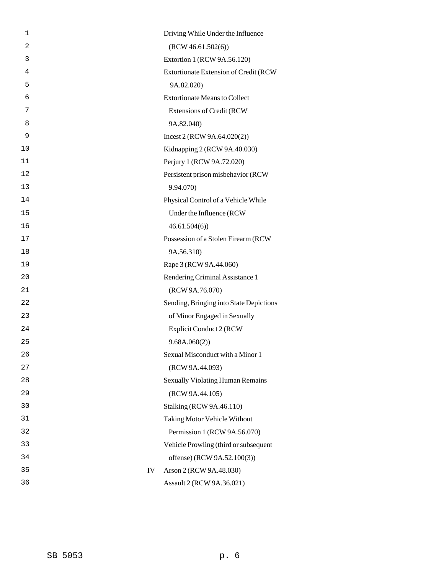| $\mathbf 1$    |                                 | Driving While Under the Influence       |
|----------------|---------------------------------|-----------------------------------------|
| $\overline{a}$ | (RCW 46.61.502(6))              |                                         |
| 3              |                                 | Extortion 1 (RCW 9A.56.120)             |
| 4              |                                 | Extortionate Extension of Credit (RCW   |
| 5              | 9A.82.020)                      |                                         |
| 6              |                                 | <b>Extortionate Means to Collect</b>    |
| 7              |                                 | <b>Extensions of Credit (RCW)</b>       |
| 8              | 9A.82.040)                      |                                         |
| 9              |                                 | Incest 2 (RCW 9A.64.020(2))             |
| 10             |                                 | Kidnapping 2 (RCW 9A.40.030)            |
| 11             | Perjury 1 (RCW 9A.72.020)       |                                         |
| 12             |                                 | Persistent prison misbehavior (RCW      |
| 13             | 9.94.070)                       |                                         |
| 14             |                                 | Physical Control of a Vehicle While     |
| 15             |                                 | Under the Influence (RCW                |
| 16             | 46.61.504(6)                    |                                         |
| 17             |                                 | Possession of a Stolen Firearm (RCW     |
| 18             | 9A.56.310)                      |                                         |
| 19             | Rape 3 (RCW 9A.44.060)          |                                         |
| 20             |                                 | Rendering Criminal Assistance 1         |
| 21             | (RCW 9A.76.070)                 |                                         |
| 22             |                                 | Sending, Bringing into State Depictions |
| 23             |                                 | of Minor Engaged in Sexually            |
| 24             |                                 | Explicit Conduct 2 (RCW                 |
| 25             | 9.68A.060(2)                    |                                         |
| 26             |                                 | Sexual Misconduct with a Minor 1        |
| 27             | (RCW 9A.44.093)                 |                                         |
| 28             |                                 | <b>Sexually Violating Human Remains</b> |
| 29             | (RCW 9A.44.105)                 |                                         |
| 30             | <b>Stalking (RCW 9A.46.110)</b> |                                         |
| 31             |                                 | Taking Motor Vehicle Without            |
| 32             |                                 | Permission 1 (RCW 9A.56.070)            |
| 33             |                                 | Vehicle Prowling (third or subsequent   |
| 34             |                                 | offense) (RCW 9A.52.100(3))             |
| 35             | IV<br>Arson 2 (RCW 9A.48.030)   |                                         |
| 36             |                                 | Assault 2 (RCW 9A.36.021)               |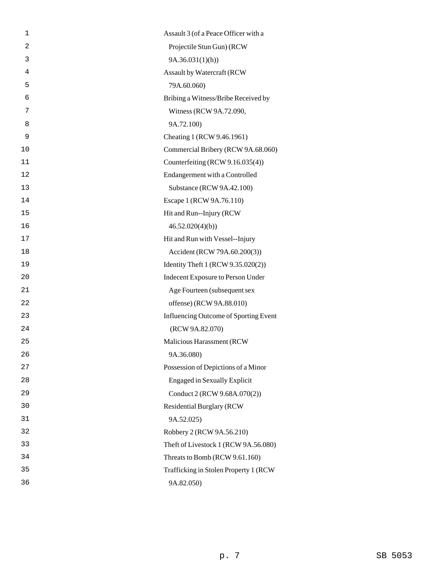| 1              | Assault 3 (of a Peace Officer with a  |
|----------------|---------------------------------------|
| $\overline{2}$ | Projectile Stun Gun) (RCW             |
| 3              | 9A.36.031(1)(h)                       |
| 4              | Assault by Watercraft (RCW            |
| 5              | 79A.60.060)                           |
| 6              | Bribing a Witness/Bribe Received by   |
| 7              | Witness (RCW 9A.72.090,               |
| 8              | 9A.72.100)                            |
| 9              | Cheating 1 (RCW 9.46.1961)            |
| 10             | Commercial Bribery (RCW 9A.68.060)    |
| 11             | Counterfeiting (RCW 9.16.035(4))      |
| 12             | Endangerment with a Controlled        |
| 13             | Substance (RCW 9A.42.100)             |
| 14             | Escape 1 (RCW 9A.76.110)              |
| 15             | Hit and Run--Injury (RCW              |
| 16             | 46.52.020(4)(b)                       |
| 17             | Hit and Run with Vessel--Injury       |
| 18             | Accident (RCW 79A.60.200(3))          |
| 19             | Identity Theft 1 (RCW 9.35.020(2))    |
| 20             | Indecent Exposure to Person Under     |
| 21             | Age Fourteen (subsequent sex          |
| 22             | offense) (RCW 9A.88.010)              |
| 23             | Influencing Outcome of Sporting Event |
| 24             | (RCW 9A.82.070)                       |
| 25             | Malicious Harassment (RCW             |
| 26             | 9A.36.080)                            |
| 27             | Possession of Depictions of a Minor   |
| 28             | <b>Engaged in Sexually Explicit</b>   |
| 29             | Conduct 2 (RCW 9.68A.070(2))          |
| 30             | <b>Residential Burglary (RCW</b>      |
| 31             | 9A.52.025)                            |
| 32             | Robbery 2 (RCW 9A.56.210)             |
| 33             | Theft of Livestock 1 (RCW 9A.56.080)  |
| 34             | Threats to Bomb (RCW 9.61.160)        |
| 35             | Trafficking in Stolen Property 1 (RCW |
| 36             | 9A.82.050)                            |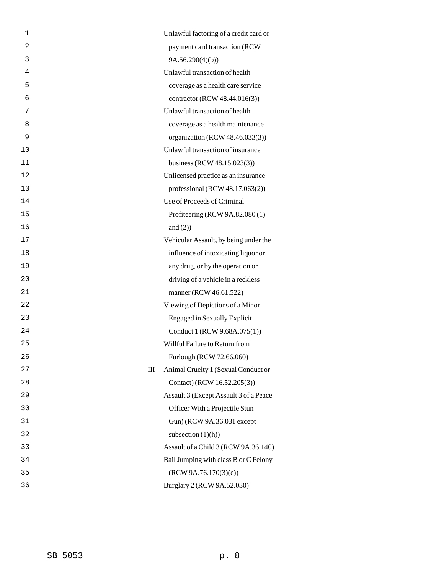| 1  | Unlawful factoring of a credit card or   |
|----|------------------------------------------|
| 2  | payment card transaction (RCW            |
| 3  | 9A.56.290(4)(b)                          |
| 4  | Unlawful transaction of health           |
| 5  | coverage as a health care service        |
| 6  | contractor (RCW 48.44.016(3))            |
| 7  | Unlawful transaction of health           |
| 8  | coverage as a health maintenance         |
| 9  | organization (RCW 48.46.033(3))          |
| 10 | Unlawful transaction of insurance        |
| 11 | business (RCW 48.15.023(3))              |
| 12 | Unlicensed practice as an insurance      |
| 13 | professional (RCW 48.17.063(2))          |
| 14 | Use of Proceeds of Criminal              |
| 15 | Profiteering (RCW 9A.82.080(1)           |
| 16 | and $(2)$ )                              |
| 17 | Vehicular Assault, by being under the    |
| 18 | influence of intoxicating liquor or      |
| 19 | any drug, or by the operation or         |
| 20 | driving of a vehicle in a reckless       |
| 21 | manner (RCW 46.61.522)                   |
| 22 | Viewing of Depictions of a Minor         |
| 23 | <b>Engaged in Sexually Explicit</b>      |
| 24 | Conduct 1 (RCW 9.68A.075(1))             |
| 25 | Willful Failure to Return from           |
| 26 | Furlough (RCW 72.66.060)                 |
| 27 | Animal Cruelty 1 (Sexual Conduct or<br>Ш |
| 28 | Contact) (RCW 16.52.205(3))              |
| 29 | Assault 3 (Except Assault 3 of a Peace   |
| 30 | Officer With a Projectile Stun           |
| 31 | Gun) (RCW 9A.36.031 except               |
| 32 | subsection $(1)(h)$                      |
| 33 | Assault of a Child 3 (RCW 9A.36.140)     |
| 34 | Bail Jumping with class B or C Felony    |
| 35 | (RCW 9A.76.170(3)(c))                    |
| 36 | Burglary 2 (RCW 9A.52.030)               |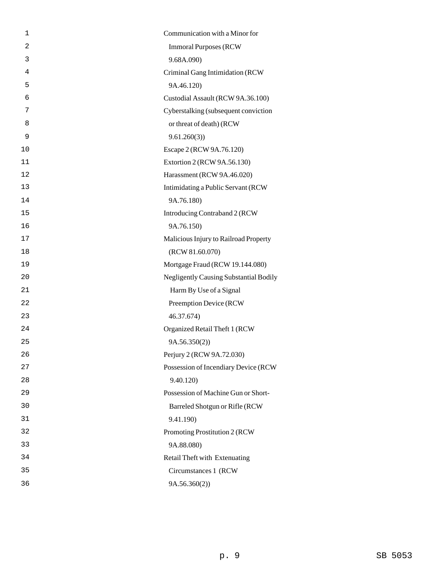| 1              | Communication with a Minor for                |
|----------------|-----------------------------------------------|
| $\overline{2}$ | <b>Immoral Purposes (RCW)</b>                 |
| 3              | 9.68A.090)                                    |
| 4              | Criminal Gang Intimidation (RCW               |
| 5              | 9A.46.120)                                    |
| 6              | Custodial Assault (RCW 9A.36.100)             |
| 7              | Cyberstalking (subsequent conviction          |
| 8              | or threat of death) (RCW                      |
| 9              | 9.61.260(3)                                   |
| 10             | Escape 2 (RCW 9A.76.120)                      |
| 11             | Extortion 2 (RCW 9A.56.130)                   |
| 12             | Harassment (RCW 9A.46.020)                    |
| 13             | Intimidating a Public Servant (RCW            |
| 14             | 9A.76.180)                                    |
| 15             | Introducing Contraband 2 (RCW                 |
| 16             | 9A.76.150)                                    |
| 17             | Malicious Injury to Railroad Property         |
| 18             | (RCW 81.60.070)                               |
| 19             | Mortgage Fraud (RCW 19.144.080)               |
| 20             | <b>Negligently Causing Substantial Bodily</b> |
| 21             | Harm By Use of a Signal                       |
| 22             | Preemption Device (RCW                        |
| 23             | 46.37.674)                                    |
| 24             | Organized Retail Theft 1 (RCW                 |
| 25             | 9A.56.350(2)                                  |
| 26             | Perjury 2 (RCW 9A.72.030)                     |
| 27             | Possession of Incendiary Device (RCW          |
| 28             | 9.40.120)                                     |
| 29             | Possession of Machine Gun or Short-           |
| 30             | Barreled Shotgun or Rifle (RCW                |
| 31             | 9.41.190)                                     |
| 32             | Promoting Prostitution 2 (RCW                 |
| 33             | 9A.88.080)                                    |
| 34             | Retail Theft with Extenuating                 |
| 35             | Circumstances 1 (RCW)                         |
| 36             | 9A.56.360(2))                                 |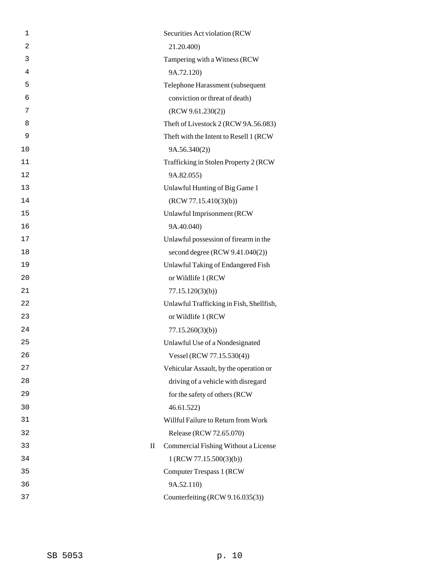| 1  |              | Securities Act violation (RCW            |
|----|--------------|------------------------------------------|
| 2  |              | 21.20.400)                               |
| 3  |              | Tampering with a Witness (RCW            |
| 4  |              | 9A.72.120)                               |
| 5  |              | Telephone Harassment (subsequent         |
| 6  |              | conviction or threat of death)           |
| 7  |              | (RCW 9.61.230(2))                        |
| 8  |              | Theft of Livestock 2 (RCW 9A.56.083)     |
| 9  |              | Theft with the Intent to Resell 1 (RCW)  |
| 10 |              | 9A.56.340(2)                             |
| 11 |              | Trafficking in Stolen Property 2 (RCW    |
| 12 |              | 9A.82.055)                               |
| 13 |              | Unlawful Hunting of Big Game 1           |
| 14 |              | (RCW 77.15.410(3)(b))                    |
| 15 |              | Unlawful Imprisonment (RCW               |
| 16 |              | 9A.40.040)                               |
| 17 |              | Unlawful possession of firearm in the    |
| 18 |              | second degree (RCW 9.41.040(2))          |
| 19 |              | Unlawful Taking of Endangered Fish       |
| 20 |              | or Wildlife 1 (RCW                       |
| 21 |              | 77.15.120(3)(b)                          |
| 22 |              | Unlawful Trafficking in Fish, Shellfish, |
| 23 |              | or Wildlife 1 (RCW                       |
| 24 |              | 77.15.260(3)(b)                          |
| 25 |              | Unlawful Use of a Nondesignated          |
| 26 |              | Vessel (RCW 77.15.530(4))                |
| 27 |              | Vehicular Assault, by the operation or   |
| 28 |              | driving of a vehicle with disregard      |
| 29 |              | for the safety of others (RCW            |
| 30 |              | 46.61.522                                |
| 31 |              | Willful Failure to Return from Work      |
| 32 |              | Release (RCW 72.65.070)                  |
| 33 | $\mathbf{I}$ | Commercial Fishing Without a License     |
| 34 |              | 1 (RCW 77.15.500(3)(b))                  |
| 35 |              | Computer Trespass 1 (RCW                 |
| 36 |              | 9A.52.110)                               |
| 37 |              | Counterfeiting (RCW 9.16.035(3))         |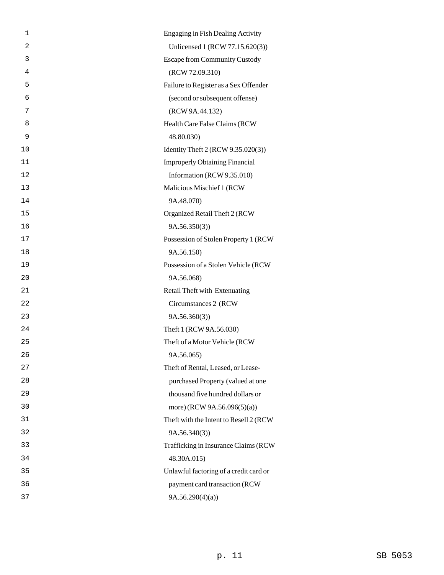| 1  | <b>Engaging in Fish Dealing Activity</b> |
|----|------------------------------------------|
| 2  | Unlicensed 1 (RCW 77.15.620(3))          |
| 3  | <b>Escape from Community Custody</b>     |
| 4  | (RCW 72.09.310)                          |
| 5  | Failure to Register as a Sex Offender    |
| 6  | (second or subsequent offense)           |
| 7  | (RCW 9A.44.132)                          |
| 8  | Health Care False Claims (RCW            |
| 9  | 48.80.030)                               |
| 10 | Identity Theft 2 (RCW 9.35.020(3))       |
| 11 | <b>Improperly Obtaining Financial</b>    |
| 12 | Information (RCW 9.35.010)               |
| 13 | Malicious Mischief 1 (RCW                |
| 14 | 9A.48.070)                               |
| 15 | Organized Retail Theft 2 (RCW            |
| 16 | 9A.56.350(3)                             |
| 17 | Possession of Stolen Property 1 (RCW     |
| 18 | 9A.56.150)                               |
| 19 | Possession of a Stolen Vehicle (RCW      |
| 20 | 9A.56.068)                               |
| 21 | Retail Theft with Extenuating            |
| 22 | Circumstances 2 (RCW                     |
| 23 | 9A.56.360(3)                             |
| 24 | Theft 1 (RCW 9A.56.030)                  |
| 25 | Theft of a Motor Vehicle (RCW            |
| 26 | 9A.56.065)                               |
| 27 | Theft of Rental, Leased, or Lease-       |
| 28 | purchased Property (valued at one        |
| 29 | thousand five hundred dollars or         |
| 30 | more) (RCW 9A.56.096(5)(a))              |
| 31 | Theft with the Intent to Resell 2 (RCW   |
| 32 | 9A.56.340(3)                             |
| 33 | Trafficking in Insurance Claims (RCW     |
| 34 | 48.30A.015)                              |
| 35 | Unlawful factoring of a credit card or   |
| 36 | payment card transaction (RCW            |
| 37 | 9A.56.290(4)(a)                          |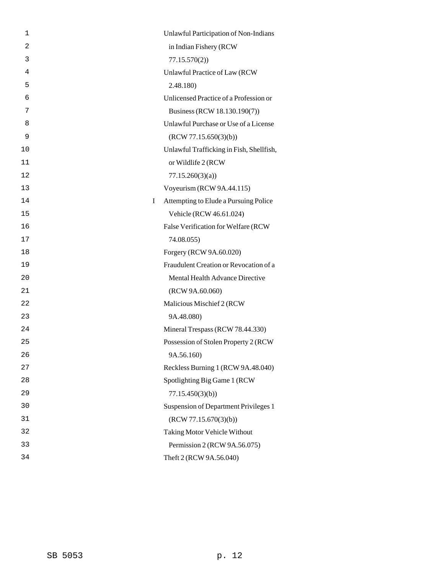| 1              | Unlawful Participation of Non-Indians        |
|----------------|----------------------------------------------|
| $\overline{a}$ | in Indian Fishery (RCW                       |
| 3              | 77.15.570(2)                                 |
| 4              | Unlawful Practice of Law (RCW                |
| 5              | 2.48.180)                                    |
| 6              | Unlicensed Practice of a Profession or       |
| 7              | Business (RCW 18.130.190(7))                 |
| 8              | Unlawful Purchase or Use of a License        |
| 9              | (RCW 77.15.650(3)(b))                        |
| 10             | Unlawful Trafficking in Fish, Shellfish,     |
| 11             | or Wildlife 2 (RCW                           |
| 12             | 77.15.260(3)(a)                              |
| 13             | Voyeurism (RCW 9A.44.115)                    |
| 14             | I<br>Attempting to Elude a Pursuing Police   |
| 15             | Vehicle (RCW 46.61.024)                      |
| 16             | False Verification for Welfare (RCW          |
| 17             | 74.08.055)                                   |
| 18             | Forgery (RCW 9A.60.020)                      |
| 19             | Fraudulent Creation or Revocation of a       |
| 20             | Mental Health Advance Directive              |
| 21             | (RCW 9A.60.060)                              |
| 22             | Malicious Mischief 2 (RCW                    |
| 23             | 9A.48.080)                                   |
| 24             | Mineral Trespass (RCW 78.44.330)             |
| 25             | Possession of Stolen Property 2 (RCW         |
| 26             | 9A.56.160)                                   |
| 27             | Reckless Burning 1 (RCW 9A.48.040)           |
| 28             | Spotlighting Big Game 1 (RCW                 |
| 29             | 77.15.450(3)(b)                              |
| 30             | <b>Suspension of Department Privileges 1</b> |
| 31             | (RCW 77.15.670(3)(b))                        |
| 32             | Taking Motor Vehicle Without                 |
| 33             | Permission 2 (RCW 9A.56.075)                 |
| 34             | Theft 2 (RCW 9A.56.040)                      |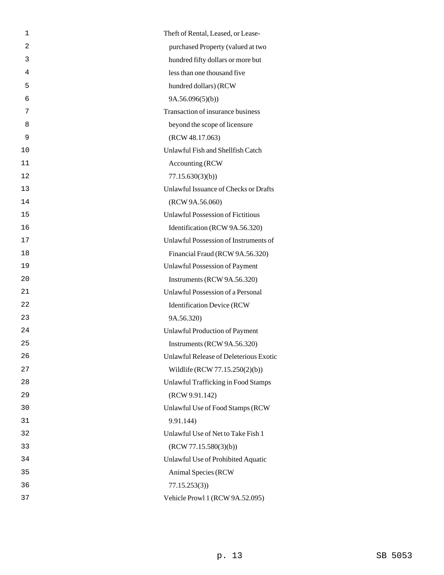| 1  | Theft of Rental, Leased, or Lease-       |
|----|------------------------------------------|
| 2  | purchased Property (valued at two        |
| 3  | hundred fifty dollars or more but        |
| 4  | less than one thousand five              |
| 5  | hundred dollars) (RCW                    |
| 6  | 9A.56.096(5)(b)                          |
| 7  | Transaction of insurance business        |
| 8  | beyond the scope of licensure            |
| 9  | (RCW 48.17.063)                          |
| 10 | Unlawful Fish and Shellfish Catch        |
| 11 | Accounting (RCW)                         |
| 12 | 77.15.630(3)(b)                          |
| 13 | Unlawful Issuance of Checks or Drafts    |
| 14 | (RCW 9A.56.060)                          |
| 15 | <b>Unlawful Possession of Fictitious</b> |
| 16 | Identification (RCW 9A.56.320)           |
| 17 | Unlawful Possession of Instruments of    |
| 18 | Financial Fraud (RCW 9A.56.320)          |
| 19 | Unlawful Possession of Payment           |
| 20 | Instruments (RCW 9A.56.320)              |
| 21 | Unlawful Possession of a Personal        |
| 22 | <b>Identification Device (RCW</b>        |
| 23 | 9A.56.320)                               |
| 24 | Unlawful Production of Payment           |
| 25 | Instruments (RCW 9A.56.320)              |
| 26 | Unlawful Release of Deleterious Exotic   |
| 27 | Wildlife (RCW 77.15.250(2)(b))           |
| 28 | Unlawful Trafficking in Food Stamps      |
| 29 | (RCW 9.91.142)                           |
| 30 | Unlawful Use of Food Stamps (RCW         |
| 31 | 9.91.144)                                |
| 32 | Unlawful Use of Net to Take Fish 1       |
| 33 | (RCW 77.15.580(3)(b))                    |
| 34 | Unlawful Use of Prohibited Aquatic       |
| 35 | Animal Species (RCW                      |
| 36 | 77.15.253(3)                             |
| 37 | Vehicle Prowl 1 (RCW 9A.52.095)          |